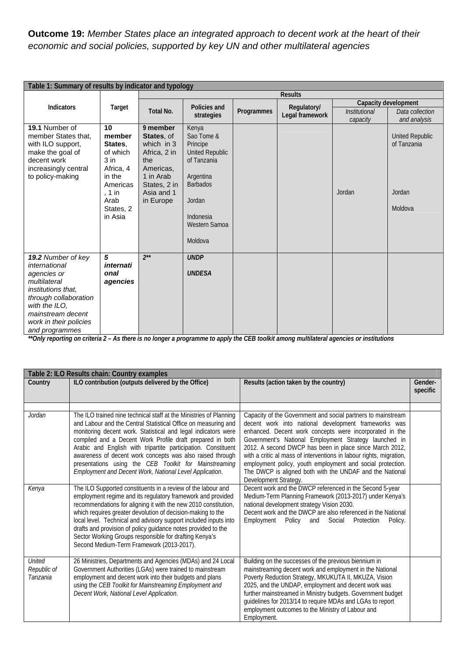## **Outcome 19:** *Member States place an integrated approach to decent work at the heart of their economic and social policies, supported by key UN and other multilateral agencies*

| Table 1: Summary of results by indicator and typology                                                                                                                                               |                                                                                                                            |                                                                                                                                  |                                                                                                                                                             |            |                                |                                         |                                                            |  |
|-----------------------------------------------------------------------------------------------------------------------------------------------------------------------------------------------------|----------------------------------------------------------------------------------------------------------------------------|----------------------------------------------------------------------------------------------------------------------------------|-------------------------------------------------------------------------------------------------------------------------------------------------------------|------------|--------------------------------|-----------------------------------------|------------------------------------------------------------|--|
|                                                                                                                                                                                                     | Target                                                                                                                     | <b>Results</b>                                                                                                                   |                                                                                                                                                             |            |                                |                                         |                                                            |  |
| <b>Indicators</b>                                                                                                                                                                                   |                                                                                                                            | Total No.                                                                                                                        | Policies and<br>strategies                                                                                                                                  | Programmes | Regulatory/<br>Legal framework | <i><b>Institutional</b></i><br>capacity | Capacity development<br>Data collection<br>and analysis    |  |
| 19.1 Number of<br>member States that,<br>with ILO support,<br>make the goal of<br>decent work<br>increasingly central<br>to policy-making                                                           | 10<br>member<br>States.<br>of which<br>$3$ in<br>Africa, 4<br>in the<br>Americas<br>, 1 in<br>Arab<br>States, 2<br>in Asia | 9 member<br>States, of<br>which in 3<br>Africa, 2 in<br>the<br>Americas,<br>1 in Arab<br>States, 2 in<br>Asia and 1<br>in Europe | Kenya<br>Sao Tome &<br>Principe<br><b>United Republic</b><br>of Tanzania<br>Argentina<br><b>Barbados</b><br>Jordan<br>Indonesia<br>Western Samoa<br>Moldova |            |                                | Jordan                                  | <b>United Republic</b><br>of Tanzania<br>Jordan<br>Moldova |  |
| 19.2 Number of key<br>international<br>agencies or<br>multilateral<br>institutions that,<br>through collaboration<br>with the ILO,<br>mainstream decent<br>work in their policies<br>and programmes | 5<br>internati<br>onal<br>agencies                                                                                         | $2^{**}$                                                                                                                         | <b>UNDP</b><br><b>UNDESA</b>                                                                                                                                |            |                                |                                         |                                                            |  |

*\*\*Only reporting on criteria 2 – As there is no longer a programme to apply the CEB toolkit among multilateral agencies or institutions* 

|                                          | Table 2: ILO Results chain: Country examples                                                                                                                                                                                                                                                                                                                                                                                                                                                                         |                                                                                                                                                                                                                                                                                                                                                                                                                                                                                                                               |                     |  |  |  |  |
|------------------------------------------|----------------------------------------------------------------------------------------------------------------------------------------------------------------------------------------------------------------------------------------------------------------------------------------------------------------------------------------------------------------------------------------------------------------------------------------------------------------------------------------------------------------------|-------------------------------------------------------------------------------------------------------------------------------------------------------------------------------------------------------------------------------------------------------------------------------------------------------------------------------------------------------------------------------------------------------------------------------------------------------------------------------------------------------------------------------|---------------------|--|--|--|--|
| Country                                  | ILO contribution (outputs delivered by the Office)                                                                                                                                                                                                                                                                                                                                                                                                                                                                   | Results (action taken by the country)                                                                                                                                                                                                                                                                                                                                                                                                                                                                                         | Gender-<br>specific |  |  |  |  |
|                                          |                                                                                                                                                                                                                                                                                                                                                                                                                                                                                                                      |                                                                                                                                                                                                                                                                                                                                                                                                                                                                                                                               |                     |  |  |  |  |
| Jordan                                   | The ILO trained nine technical staff at the Ministries of Planning<br>and Labour and the Central Statistical Office on measuring and<br>monitoring decent work. Statistical and legal indicators were<br>compiled and a Decent Work Profile draft prepared in both<br>Arabic and English with tripartite participation. Constituent<br>awareness of decent work concepts was also raised through<br>presentations using the CEB Toolkit for Mainstreaming<br>Employment and Decent Work, National Level Application. | Capacity of the Government and social partners to mainstream<br>decent work into national development frameworks was<br>enhanced. Decent work concepts were incorporated in the<br>Government's National Employment Strategy launched in<br>2012. A second DWCP has been in place since March 2012,<br>with a critic al mass of interventions in labour rights, migration,<br>employment policy, youth employment and social protection.<br>The DWCP is aligned both with the UNDAF and the National<br>Development Strategy. |                     |  |  |  |  |
| Kenya                                    | The ILO Supported constituents in a review of the labour and<br>employment regime and its regulatory framework and provided<br>recommendations for aligning it with the new 2010 constitution,<br>which requires greater devolution of decision-making to the<br>local level. Technical and advisory support included inputs into<br>drafts and provision of policy guidance notes provided to the<br>Sector Working Groups responsible for drafting Kenya's<br>Second Medium-Term Framework (2013-2017).            | Decent work and the DWCP referenced in the Second 5-year<br>Medium-Term Planning Framework (2013-2017) under Kenya's<br>national development strategy Vision 2030.<br>Decent work and the DWCP are also referenced in the National<br>Employment<br>Policy<br>Social<br>Protection<br>and<br>Policy.                                                                                                                                                                                                                          |                     |  |  |  |  |
| <b>United</b><br>Republic of<br>Tanzania | 26 Ministries, Departments and Agencies (MDAs) and 24 Local<br>Government Authorities (LGAs) were trained to mainstream<br>employment and decent work into their budgets and plans<br>using the CEB Toolkit for Mainstreaming Employment and<br>Decent Work, National Level Application.                                                                                                                                                                                                                             | Building on the successes of the previous biennium in<br>mainstreaming decent work and employment in the National<br>Poverty Reduction Strategy, MKUKUTA II, MKUZA, Vision<br>2025, and the UNDAP, employment and decent work was<br>further mainstreamed in Ministry budgets. Government budget<br>guidelines for 2013/14 to require MDAs and LGAs to report<br>employment outcomes to the Ministry of Labour and<br>Employment.                                                                                             |                     |  |  |  |  |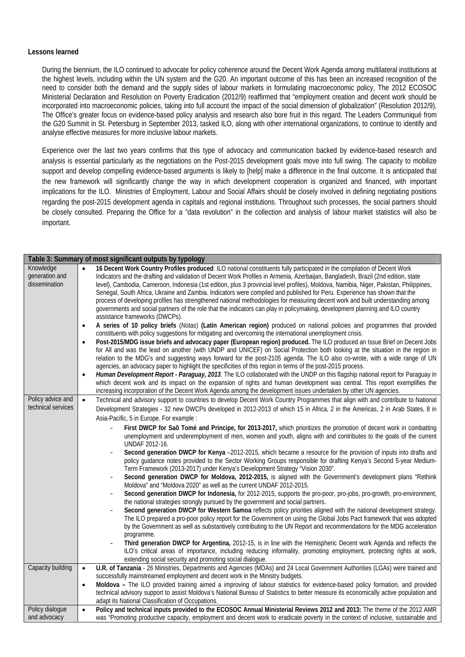## **Lessons learned**

During the biennium, the ILO continued to advocate for policy coherence around the Decent Work Agenda among multilateral institutions at the highest levels, including within the UN system and the G20. An important outcome of this has been an increased recognition of the need to consider both the demand and the supply sides of labour markets in formulating macroeconomic policy, The 2012 ECOSOC Ministerial Declaration and Resolution on Poverty Eradication (2012/9) reaffirmed that "employment creation and decent work should be incorporated into macroeconomic policies, taking into full account the impact of the social dimension of globalization" (Resolution 2012/9). The Office's greater focus on evidence-based policy analysis and research also bore fruit in this regard. The Leaders Communiqué from the G20 Summit in St. Petersburg in September 2013, tasked ILO, along with other international organizations, to continue to identify and analyse effective measures for more inclusive labour markets.

Experience over the last two years confirms that this type of advocacy and communication backed by evidence-based research and analysis is essential particularly as the negotiations on the Post-2015 development goals move into full swing. The capacity to mobilize support and develop compelling evidence-based arguments is likely to [help] make a difference in the final outcome. It is anticipated that the new framework will significantly change the way in which development cooperation is organized and financed, with important implications for the ILO. Ministries of Employment, Labour and Social Affairs should be closely involved in defining negotiating positions regarding the post-2015 development agenda in capitals and regional institutions. Throughout such processes, the social partners should be closely consulted. Preparing the Office for a "data revolution" in the collection and analysis of labour market statistics will also be important.

| Table 3: Summary of most significant outputs by typology |                                                                                                                                                                                                                                                                                                                                                                                                                                                                                                                                                                                                                                                                                                                                                                                                                                                                                                                                                                                                                                                                                                                                                                                                                                                                                                                                                                                                                                                                                                                                                                                                                                                                                                                                                                                                                                                                                                                                                                                                                           |  |  |  |
|----------------------------------------------------------|---------------------------------------------------------------------------------------------------------------------------------------------------------------------------------------------------------------------------------------------------------------------------------------------------------------------------------------------------------------------------------------------------------------------------------------------------------------------------------------------------------------------------------------------------------------------------------------------------------------------------------------------------------------------------------------------------------------------------------------------------------------------------------------------------------------------------------------------------------------------------------------------------------------------------------------------------------------------------------------------------------------------------------------------------------------------------------------------------------------------------------------------------------------------------------------------------------------------------------------------------------------------------------------------------------------------------------------------------------------------------------------------------------------------------------------------------------------------------------------------------------------------------------------------------------------------------------------------------------------------------------------------------------------------------------------------------------------------------------------------------------------------------------------------------------------------------------------------------------------------------------------------------------------------------------------------------------------------------------------------------------------------------|--|--|--|
| Knowledge<br>generation and<br>dissemination             | 16 Decent Work Country Profiles produced: ILO national constituents fully participated in the compilation of Decent Work<br>Indicators and the drafting and validation of Decent Work Profiles in Armenia, Azerbaijan, Bangladesh, Brazil (2nd edition, state<br>level), Cambodia, Cameroon, Indonesia (1st edition, plus 3 provincial level profiles), Moldova, Namibia, Niger, Pakistan, Philippines,<br>Senegal, South Africa, Ukraine and Zambia. Indicators were compiled and published for Peru. Experience has shown that the<br>process of developing profiles has strengthened national methodologies for measuring decent work and built understanding among<br>governments and social partners of the role that the indicators can play in policymaking, development planning and ILO country<br>assistance frameworks (DWCPs).<br>A series of 10 policy briefs (Notas) (Latin American region) produced on national policies and programmes that provided<br>$\bullet$<br>constituents with policy suggestions for mitigating and overcoming the international unemployment crisis.<br>Post-2015/MDG issue briefs and advocacy paper (European region) produced. The ILO produced an Issue Brief on Decent Jobs<br>$\bullet$<br>for All and was the lead on another (with UNDP and UNICEF) on Social Protection both looking at the situation in the region in<br>relation to the MDG's and suggesting ways forward for the post-2105 agenda. The ILO also co-wrote, with a wide range of UN<br>agencies, an advocacy paper to highlight the specificities of this region in terms of the post-2015 process.<br>Human Development Report - Paraguay, 2013. The ILO collaborated with the UNDP on this flagship national report for Paraguay in<br>$\bullet$<br>which decent work and its impact on the expansion of rights and human development was central. This report exemplifies the<br>increasing incorporation of the Decent Work Agenda among the development issues undertaken by other UN agencies. |  |  |  |
| Policy advice and<br>technical services                  | Technical and advisory support to countries to develop Decent Work Country Programmes that align with and contribute to National<br>$\bullet$<br>Development Strategies - 32 new DWCPs developed in 2012-2013 of which 15 in Africa, 2 in the Americas, 2 in Arab States, 8 in<br>Asia-Pacific, 5 in Europe. For example :<br>First DWCP for Sao Tomé and Principe, for 2013-2017, which prioritizes the promotion of decent work in combatting<br>unemployment and underemployment of men, women and youth, aligns with and contributes to the goals of the current<br>UNDAF 2012-16.<br>Second generation DWCP for Kenya -2012-2015, which became a resource for the provision of inputs into drafts and<br>policy guidance notes provided to the Sector Working Groups responsible for drafting Kenya's Second 5-year Medium-<br>Term Framework (2013-2017) under Kenya's Development Strategy "Vision 2030".<br>Second generation DWCP for Moldova, 2012-2015, is aligned with the Government's development plans "Rethink<br>Moldova" and "Moldova 2020" as well as the current UNDAF 2012-2015.<br>Second generation DWCP for Indonesia, for 2012-2015, supports the pro-poor, pro-jobs, pro-growth, pro-environment,<br>the national strategies strongly pursued by the government and social partners.<br>Second generation DWCP for Western Samoa reflects policy priorities aligned with the national development strategy.<br>The ILO prepared a pro-poor policy report for the Government on using the Global Jobs Pact framework that was adopted<br>by the Government as well as substantively contributing to the UN Report and recommendations for the MDG acceleration<br>programme.<br>Third generation DWCP for Argentina, 2012-15, is in line with the Hemispheric Decent work Agenda and reflects the<br>ILO's critical areas of importance, including reducing informality, promoting employment, protecting rights at work,<br>extending social security and promoting social dialogue.            |  |  |  |
| Capacity building                                        | U.R. of Tanzania - 26 Ministries, Departments and Agencies (MDAs) and 24 Local Government Authorities (LGAs) were trained and<br>$\bullet$<br>successfully mainstreamed employment and decent work in the Ministry budgets.<br>Moldova - The ILO provided training aimed a improving of labour statistics for evidence-based policy formation, and provided<br>$\bullet$<br>technical advisory support to assist Moldova's National Bureau of Statistics to better measure its economically active population and<br>adapt its National Classification of Occupations.                                                                                                                                                                                                                                                                                                                                                                                                                                                                                                                                                                                                                                                                                                                                                                                                                                                                                                                                                                                                                                                                                                                                                                                                                                                                                                                                                                                                                                                    |  |  |  |
| Policy dialogue<br>and advocacy                          | Policy and technical inputs provided to the ECOSOC Annual Ministerial Reviews 2012 and 2013: The theme of the 2012 AMR<br>$\bullet$<br>was "Promoting productive capacity, employment and decent work to eradicate poverty in the context of inclusive, sustainable and                                                                                                                                                                                                                                                                                                                                                                                                                                                                                                                                                                                                                                                                                                                                                                                                                                                                                                                                                                                                                                                                                                                                                                                                                                                                                                                                                                                                                                                                                                                                                                                                                                                                                                                                                   |  |  |  |